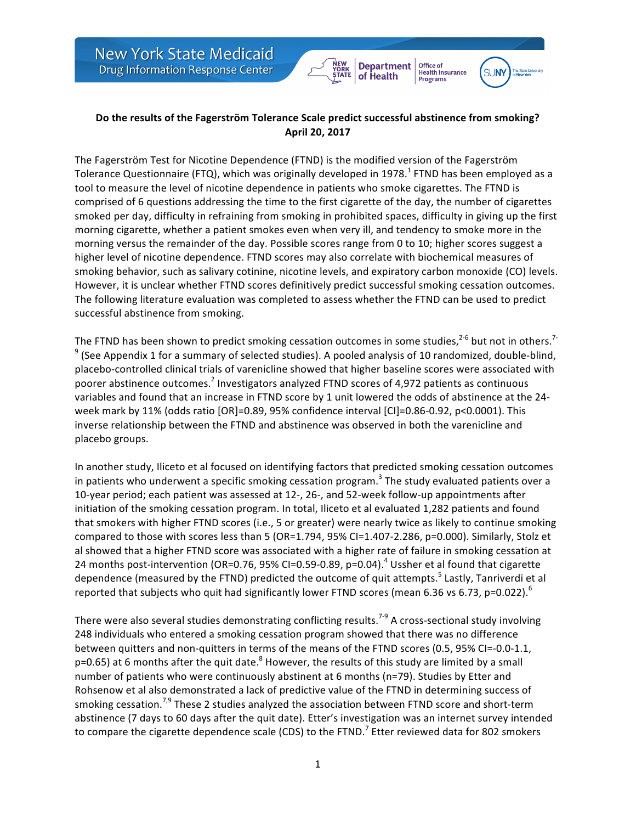

**Office of<br>Health Insurance** 

**Programs** 

**SUN** 

**Department** 

of Health

The Fagerström Test for Nicotine Dependence (FTND) is the modified version of the Fagerström Tolerance Questionnaire (FTQ), which was originally developed in 1978.<sup>1</sup> FTND has been employed as a tool to measure the level of nicotine dependence in patients who smoke cigarettes. The FTND is comprised of 6 questions addressing the time to the first cigarette of the day, the number of cigarettes smoked per day, difficulty in refraining from smoking in prohibited spaces, difficulty in giving up the first morning cigarette, whether a patient smokes even when very ill, and tendency to smoke more in the morning versus the remainder of the day. Possible scores range from 0 to 10; higher scores suggest a higher level of nicotine dependence. FTND scores may also correlate with biochemical measures of smoking behavior, such as salivary cotinine, nicotine levels, and expiratory carbon monoxide (CO) levels. However, it is unclear whether FTND scores definitively predict successful smoking cessation outcomes. The following literature evaluation was completed to assess whether the FTND can be used to predict successful abstinence from smoking.

The FTND has been shown to predict smoking cessation outcomes in some studies,<sup>2-6</sup> but not in others.<sup>7-</sup>  $9$  (See Appendix 1 for a summary of selected studies). A pooled analysis of 10 randomized, double-blind, placebo-controlled clinical trials of varenicline showed that higher baseline scores were associated with poorer abstinence outcomes.<sup>2</sup> Investigators analyzed FTND scores of 4,972 patients as continuous variables and found that an increase in FTND score by 1 unit lowered the odds of abstinence at the 24week mark by 11% (odds ratio [OR]=0.89, 95% confidence interval [CI]=0.86-0.92, p<0.0001). This inverse relationship between the FTND and abstinence was observed in both the varenicline and placebo groups.

In another study, Iliceto et al focused on identifying factors that predicted smoking cessation outcomes in patients who underwent a specific smoking cessation program.<sup>3</sup> The study evaluated patients over a 10-year period; each patient was assessed at 12-, 26-, and 52-week follow-up appointments after initiation of the smoking cessation program. In total, Iliceto et al evaluated 1,282 patients and found that smokers with higher FTND scores (i.e., 5 or greater) were nearly twice as likely to continue smoking compared to those with scores less than 5 (OR=1.794, 95% CI=1.407-2.286, p=0.000). Similarly, Stolz et al showed that a higher FTND score was associated with a higher rate of failure in smoking cessation at 24 months post-intervention (OR=0.76, 95% CI=0.59-0.89, p=0.04).<sup>4</sup> Ussher et al found that cigarette dependence (measured by the FTND) predicted the outcome of quit attempts.<sup>5</sup> Lastly, Tanriverdi et al reported that subjects who quit had significantly lower FTND scores (mean 6.36 vs 6.73, p=0.022). $^6$ 

There were also several studies demonstrating conflicting results.<sup>7-9</sup> A cross-sectional study involving 248 individuals who entered a smoking cessation program showed that there was no difference between quitters and non-quitters in terms of the means of the FTND scores (0.5, 95% CI=-0.0-1.1,  $p=0.65$ ) at 6 months after the quit date.<sup>8</sup> However, the results of this study are limited by a small number of patients who were continuously abstinent at 6 months (n=79). Studies by Etter and Rohsenow et al also demonstrated a lack of predictive value of the FTND in determining success of smoking cessation.<sup>7,9</sup> These 2 studies analyzed the association between FTND score and short-term abstinence (7 days to 60 days after the quit date). Etter's investigation was an internet survey intended to compare the cigarette dependence scale (CDS) to the FTND.<sup>7</sup> Etter reviewed data for 802 smokers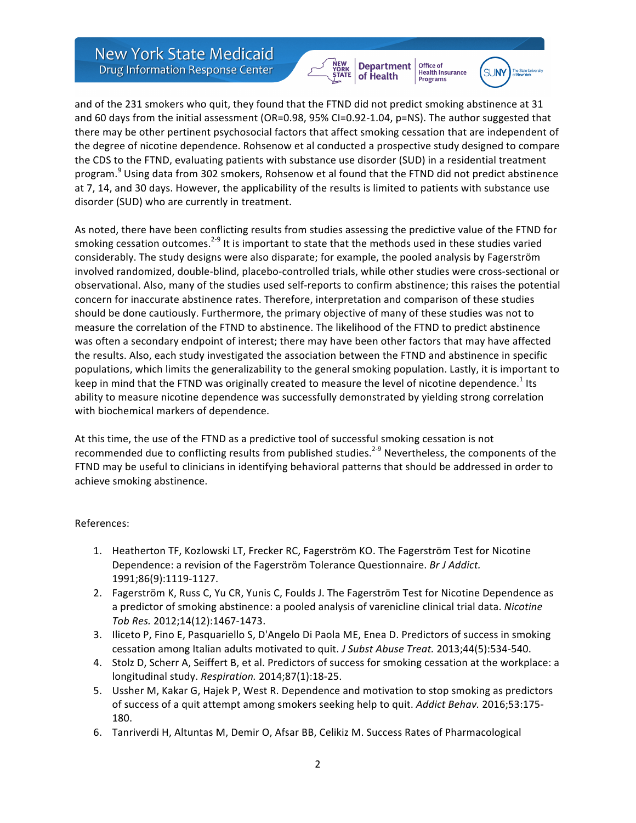**New York State Medicaid Drug Information Response Center** 





Office of<br>Health Insurance

and of the 231 smokers who quit, they found that the FTND did not predict smoking abstinence at 31 and 60 days from the initial assessment (OR=0.98, 95% CI=0.92-1.04,  $p=NS$ ). The author suggested that there may be other pertinent psychosocial factors that affect smoking cessation that are independent of the degree of nicotine dependence. Rohsenow et al conducted a prospective study designed to compare the CDS to the FTND, evaluating patients with substance use disorder (SUD) in a residential treatment program.<sup>9</sup> Using data from 302 smokers, Rohsenow et al found that the FTND did not predict abstinence at 7, 14, and 30 days. However, the applicability of the results is limited to patients with substance use disorder (SUD) who are currently in treatment.

As noted, there have been conflicting results from studies assessing the predictive value of the FTND for smoking cessation outcomes.<sup>2-9</sup> It is important to state that the methods used in these studies varied considerably. The study designs were also disparate; for example, the pooled analysis by Fagerström involved randomized, double-blind, placebo-controlled trials, while other studies were cross-sectional or observational. Also, many of the studies used self-reports to confirm abstinence; this raises the potential concern for inaccurate abstinence rates. Therefore, interpretation and comparison of these studies should be done cautiously. Furthermore, the primary objective of many of these studies was not to measure the correlation of the FTND to abstinence. The likelihood of the FTND to predict abstinence was often a secondary endpoint of interest; there may have been other factors that may have affected the results. Also, each study investigated the association between the FTND and abstinence in specific populations, which limits the generalizability to the general smoking population. Lastly, it is important to keep in mind that the FTND was originally created to measure the level of nicotine dependence.<sup>1</sup> Its ability to measure nicotine dependence was successfully demonstrated by yielding strong correlation with biochemical markers of dependence.

At this time, the use of the FTND as a predictive tool of successful smoking cessation is not recommended due to conflicting results from published studies.<sup>2-9</sup> Nevertheless, the components of the FTND may be useful to clinicians in identifying behavioral patterns that should be addressed in order to achieve smoking abstinence.

## References:

- 1. Heatherton TF, Kozlowski LT, Frecker RC, Fagerström KO. The Fagerström Test for Nicotine Dependence: a revision of the Fagerström Tolerance Questionnaire. *Br J Addict.* 1991;86(9):1119-1127.
- 2. Fagerström K, Russ C, Yu CR, Yunis C, Foulds J. The Fagerström Test for Nicotine Dependence as a predictor of smoking abstinence: a pooled analysis of varenicline clinical trial data. *Nicotine Tob Res.* 2012;14(12):1467-1473.
- 3. Iliceto P, Fino E, Pasquariello S, D'Angelo Di Paola ME, Enea D. Predictors of success in smoking cessation among Italian adults motivated to quit. *J Subst Abuse Treat.* 2013;44(5):534-540.
- 4. Stolz D, Scherr A, Seiffert B, et al. Predictors of success for smoking cessation at the workplace: a longitudinal study. Respiration. 2014;87(1):18-25.
- 5. Ussher M, Kakar G, Hajek P, West R. Dependence and motivation to stop smoking as predictors of success of a quit attempt among smokers seeking help to quit. *Addict Behav.* 2016;53:175-180.
- 6. Tanriverdi H, Altuntas M, Demir O, Afsar BB, Celikiz M. Success Rates of Pharmacological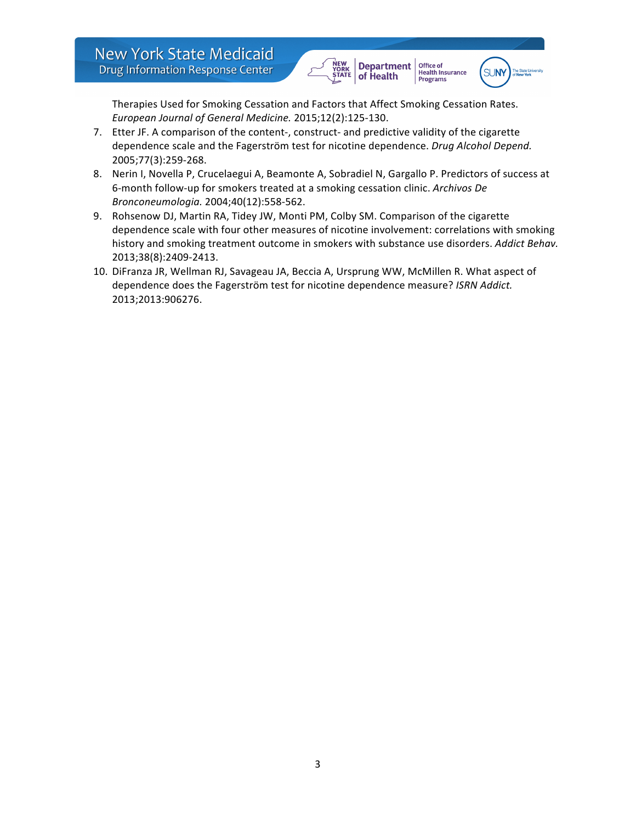



Office of<br>Health Insurance

**Programs** 

Therapies Used for Smoking Cessation and Factors that Affect Smoking Cessation Rates. *European Journal of General Medicine.* 2015;12(2):125-130.

- 7. Etter JF. A comparison of the content-, construct- and predictive validity of the cigarette dependence scale and the Fagerström test for nicotine dependence. *Drug Alcohol Depend.* 2005;77(3):259-268.
- 8. Nerin I, Novella P, Crucelaegui A, Beamonte A, Sobradiel N, Gargallo P. Predictors of success at 6-month follow-up for smokers treated at a smoking cessation clinic. Archivos De *Bronconeumologia.* 2004;40(12):558-562.
- 9. Rohsenow DJ, Martin RA, Tidey JW, Monti PM, Colby SM. Comparison of the cigarette dependence scale with four other measures of nicotine involvement: correlations with smoking history and smoking treatment outcome in smokers with substance use disorders. Addict Behav. 2013;38(8):2409-2413.
- 10. DiFranza JR, Wellman RJ, Savageau JA, Beccia A, Ursprung WW, McMillen R. What aspect of dependence does the Fagerström test for nicotine dependence measure? ISRN Addict. 2013;2013:906276.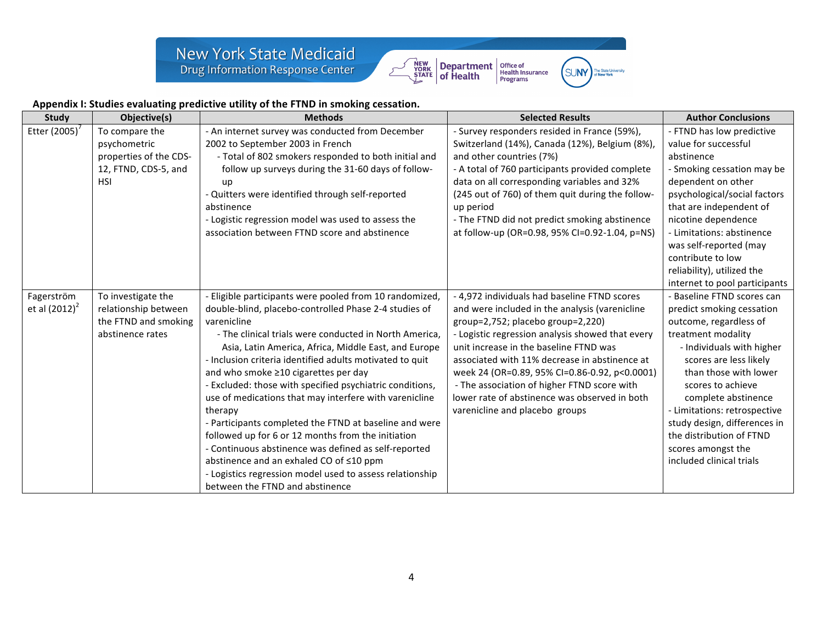



SUNY The State Univ

ersit

## Appendix I: Studies evaluating predictive utility of the FTND in smoking cessation.

| <b>Study</b>     | Objective(s)           | <b>Methods</b>                                           | <b>Selected Results</b>                          | <b>Author Conclusions</b>     |
|------------------|------------------------|----------------------------------------------------------|--------------------------------------------------|-------------------------------|
| Etter (2005)'    | To compare the         | - An internet survey was conducted from December         | - Survey responders resided in France (59%),     | - FTND has low predictive     |
|                  | psychometric           | 2002 to September 2003 in French                         | Switzerland (14%), Canada (12%), Belgium (8%),   | value for successful          |
|                  | properties of the CDS- | - Total of 802 smokers responded to both initial and     | and other countries (7%)                         | abstinence                    |
|                  | 12, FTND, CDS-5, and   | follow up surveys during the 31-60 days of follow-       | - A total of 760 participants provided complete  | - Smoking cessation may be    |
|                  | <b>HSI</b>             | up                                                       | data on all corresponding variables and 32%      | dependent on other            |
|                  |                        | - Quitters were identified through self-reported         | (245 out of 760) of them quit during the follow- | psychological/social factors  |
|                  |                        | abstinence                                               | up period                                        | that are independent of       |
|                  |                        | - Logistic regression model was used to assess the       | - The FTND did not predict smoking abstinence    | nicotine dependence           |
|                  |                        | association between FTND score and abstinence            | at follow-up (OR=0.98, 95% CI=0.92-1.04, p=NS)   | - Limitations: abstinence     |
|                  |                        |                                                          |                                                  | was self-reported (may        |
|                  |                        |                                                          |                                                  | contribute to low             |
|                  |                        |                                                          |                                                  | reliability), utilized the    |
|                  |                        |                                                          |                                                  | internet to pool participants |
| Fagerström       | To investigate the     | - Eligible participants were pooled from 10 randomized,  | - 4,972 individuals had baseline FTND scores     | Baseline FTND scores can      |
| et al $(2012)^2$ | relationship between   | double-blind, placebo-controlled Phase 2-4 studies of    | and were included in the analysis (varenicline   | predict smoking cessation     |
|                  | the FTND and smoking   | varenicline                                              | group=2,752; placebo group=2,220)                | outcome, regardless of        |
|                  | abstinence rates       | - The clinical trials were conducted in North America,   | - Logistic regression analysis showed that every | treatment modality            |
|                  |                        | Asia, Latin America, Africa, Middle East, and Europe     | unit increase in the baseline FTND was           | - Individuals with higher     |
|                  |                        | - Inclusion criteria identified adults motivated to quit | associated with 11% decrease in abstinence at    | scores are less likely        |
|                  |                        | and who smoke ≥10 cigarettes per day                     | week 24 (OR=0.89, 95% CI=0.86-0.92, p<0.0001)    | than those with lower         |
|                  |                        | - Excluded: those with specified psychiatric conditions, | - The association of higher FTND score with      | scores to achieve             |
|                  |                        | use of medications that may interfere with varenicline   | lower rate of abstinence was observed in both    | complete abstinence           |
|                  |                        | therapy                                                  | varenicline and placebo groups                   | - Limitations: retrospective  |
|                  |                        | - Participants completed the FTND at baseline and were   |                                                  | study design, differences in  |
|                  |                        | followed up for 6 or 12 months from the initiation       |                                                  | the distribution of FTND      |
|                  |                        | - Continuous abstinence was defined as self-reported     |                                                  | scores amongst the            |
|                  |                        | abstinence and an exhaled CO of ≤10 ppm                  |                                                  | included clinical trials      |
|                  |                        | - Logistics regression model used to assess relationship |                                                  |                               |
|                  |                        | between the FTND and abstinence                          |                                                  |                               |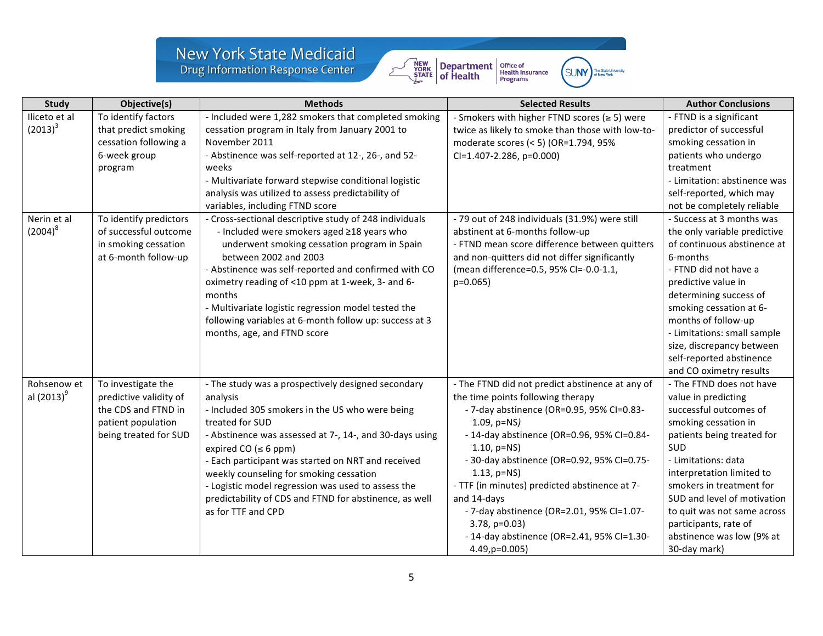## New York State Medicaid<br>Drug Information Response Center



| ∵lNV | The State University<br>of New York |
|------|-------------------------------------|
|      |                                     |

| <b>Study</b>  | Objective(s)           | <b>Methods</b>                                          | <b>Selected Results</b>                            | <b>Author Conclusions</b>    |
|---------------|------------------------|---------------------------------------------------------|----------------------------------------------------|------------------------------|
| Iliceto et al | To identify factors    | - Included were 1,282 smokers that completed smoking    | - Smokers with higher FTND scores ( $\geq$ 5) were | - FTND is a significant      |
| $(2013)^3$    | that predict smoking   | cessation program in Italy from January 2001 to         | twice as likely to smoke than those with low-to-   | predictor of successful      |
|               | cessation following a  | November 2011                                           | moderate scores (< 5) (OR=1.794, 95%               | smoking cessation in         |
|               | 6-week group           | - Abstinence was self-reported at 12-, 26-, and 52-     | $Cl=1.407-2.286$ , p=0.000)                        | patients who undergo         |
|               | program                | weeks                                                   |                                                    | treatment                    |
|               |                        | - Multivariate forward stepwise conditional logistic    |                                                    | - Limitation: abstinence was |
|               |                        | analysis was utilized to assess predictability of       |                                                    | self-reported, which may     |
|               |                        | variables, including FTND score                         |                                                    | not be completely reliable   |
| Nerin et al   | To identify predictors | - Cross-sectional descriptive study of 248 individuals  | - 79 out of 248 individuals (31.9%) were still     | - Success at 3 months was    |
| $(2004)^8$    | of successful outcome  | - Included were smokers aged ≥18 years who              | abstinent at 6-months follow-up                    | the only variable predictive |
|               | in smoking cessation   | underwent smoking cessation program in Spain            | - FTND mean score difference between quitters      | of continuous abstinence at  |
|               | at 6-month follow-up   | between 2002 and 2003                                   | and non-quitters did not differ significantly      | 6-months                     |
|               |                        | - Abstinence was self-reported and confirmed with CO    | (mean difference=0.5, 95% CI=-0.0-1.1,             | - FTND did not have a        |
|               |                        | oximetry reading of <10 ppm at 1-week, 3- and 6-        | $p=0.065$                                          | predictive value in          |
|               |                        | months                                                  |                                                    | determining success of       |
|               |                        | - Multivariate logistic regression model tested the     |                                                    | smoking cessation at 6-      |
|               |                        | following variables at 6-month follow up: success at 3  |                                                    | months of follow-up          |
|               |                        | months, age, and FTND score                             |                                                    | - Limitations: small sample  |
|               |                        |                                                         |                                                    | size, discrepancy between    |
|               |                        |                                                         |                                                    | self-reported abstinence     |
|               |                        |                                                         |                                                    | and CO oximetry results      |
| Rohsenow et   | To investigate the     | - The study was a prospectively designed secondary      | - The FTND did not predict abstinence at any of    | - The FTND does not have     |
| al $(2013)^9$ | predictive validity of | analysis                                                | the time points following therapy                  | value in predicting          |
|               | the CDS and FTND in    | - Included 305 smokers in the US who were being         | - 7-day abstinence (OR=0.95, 95% CI=0.83-          | successful outcomes of       |
|               | patient population     | treated for SUD                                         | $1.09$ , $p=NS$ )                                  | smoking cessation in         |
|               | being treated for SUD  | - Abstinence was assessed at 7-, 14-, and 30-days using | - 14-day abstinence (OR=0.96, 95% CI=0.84-         | patients being treated for   |
|               |                        | expired CO ( $\leq 6$ ppm)                              | $1.10$ , $p=NS$ )                                  | SUD                          |
|               |                        | - Each participant was started on NRT and received      | - 30-day abstinence (OR=0.92, 95% CI=0.75-         | - Limitations: data          |
|               |                        | weekly counseling for smoking cessation                 | $1.13$ , $p=NS$ )                                  | interpretation limited to    |
|               |                        | - Logistic model regression was used to assess the      | - TTF (in minutes) predicted abstinence at 7-      | smokers in treatment for     |
|               |                        | predictability of CDS and FTND for abstinence, as well  | and 14-days                                        | SUD and level of motivation  |
|               |                        | as for TTF and CPD                                      | - 7-day abstinence (OR=2.01, 95% CI=1.07-          | to quit was not same across  |
|               |                        |                                                         | $3.78$ , $p=0.03$ )                                | participants, rate of        |
|               |                        |                                                         | - 14-day abstinence (OR=2.41, 95% CI=1.30-         | abstinence was low (9% at    |
|               |                        |                                                         | 4.49, p=0.005)                                     | 30-day mark)                 |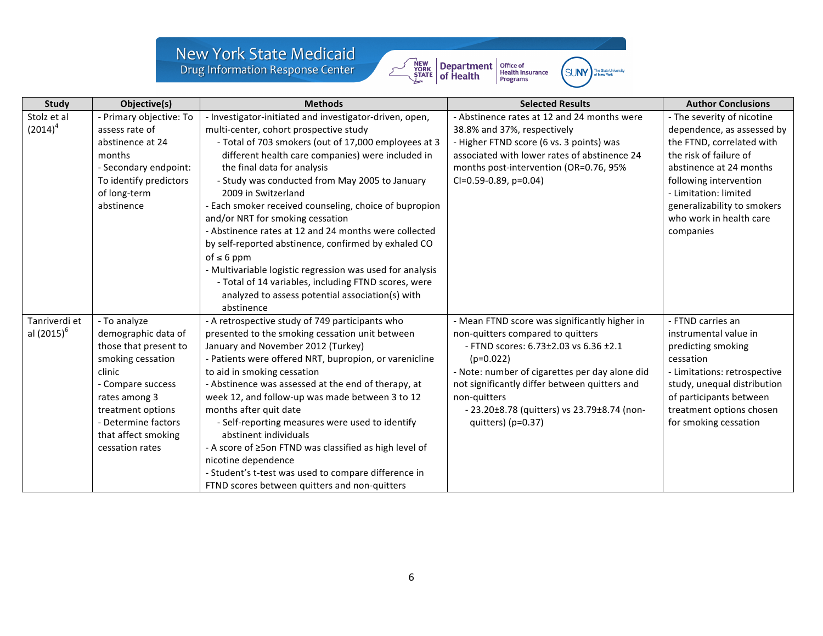## New York State Medicaid<br>Drug Information Response Center



| . IN V | The State University<br>of New York |
|--------|-------------------------------------|
|        |                                     |

| <b>Study</b>                            | Objective(s)                                                                                                                                                                                                            | <b>Methods</b>                                                                                                                                                                                                                                                                                                                                                                                                                                                                                                                                                                                                                                                                                                                                  | <b>Selected Results</b>                                                                                                                                                                                                                                                                                                              | <b>Author Conclusions</b>                                                                                                                                                                                                                                            |
|-----------------------------------------|-------------------------------------------------------------------------------------------------------------------------------------------------------------------------------------------------------------------------|-------------------------------------------------------------------------------------------------------------------------------------------------------------------------------------------------------------------------------------------------------------------------------------------------------------------------------------------------------------------------------------------------------------------------------------------------------------------------------------------------------------------------------------------------------------------------------------------------------------------------------------------------------------------------------------------------------------------------------------------------|--------------------------------------------------------------------------------------------------------------------------------------------------------------------------------------------------------------------------------------------------------------------------------------------------------------------------------------|----------------------------------------------------------------------------------------------------------------------------------------------------------------------------------------------------------------------------------------------------------------------|
| Stolz et al<br>$(2014)^4$               | - Primary objective: To<br>assess rate of<br>abstinence at 24<br>months<br>- Secondary endpoint:<br>To identify predictors<br>of long-term<br>abstinence                                                                | - Investigator-initiated and investigator-driven, open,<br>multi-center, cohort prospective study<br>- Total of 703 smokers (out of 17,000 employees at 3<br>different health care companies) were included in<br>the final data for analysis<br>- Study was conducted from May 2005 to January<br>2009 in Switzerland<br>- Each smoker received counseling, choice of bupropion<br>and/or NRT for smoking cessation<br>- Abstinence rates at 12 and 24 months were collected<br>by self-reported abstinence, confirmed by exhaled CO<br>of $\leq 6$ ppm<br>- Multivariable logistic regression was used for analysis<br>- Total of 14 variables, including FTND scores, were<br>analyzed to assess potential association(s) with<br>abstinence | - Abstinence rates at 12 and 24 months were<br>38.8% and 37%, respectively<br>- Higher FTND score (6 vs. 3 points) was<br>associated with lower rates of abstinence 24<br>months post-intervention (OR=0.76, 95%<br>$Cl = 0.59 - 0.89$ , $p = 0.04$ )                                                                                | - The severity of nicotine<br>dependence, as assessed by<br>the FTND, correlated with<br>the risk of failure of<br>abstinence at 24 months<br>following intervention<br>- Limitation: limited<br>generalizability to smokers<br>who work in health care<br>companies |
| Tanriverdi et<br>al (2015) <sup>6</sup> | - To analyze<br>demographic data of<br>those that present to<br>smoking cessation<br>clinic<br>- Compare success<br>rates among 3<br>treatment options<br>- Determine factors<br>that affect smoking<br>cessation rates | - A retrospective study of 749 participants who<br>presented to the smoking cessation unit between<br>January and November 2012 (Turkey)<br>- Patients were offered NRT, bupropion, or varenicline<br>to aid in smoking cessation<br>- Abstinence was assessed at the end of therapy, at<br>week 12, and follow-up was made between 3 to 12<br>months after quit date<br>- Self-reporting measures were used to identify<br>abstinent individuals<br>- A score of ≥5on FTND was classified as high level of<br>nicotine dependence<br>- Student's t-test was used to compare difference in<br>FTND scores between quitters and non-quitters                                                                                                     | - Mean FTND score was significantly higher in<br>non-quitters compared to quitters<br>- FTND scores: 6.73±2.03 vs 6.36 ±2.1<br>$(p=0.022)$<br>- Note: number of cigarettes per day alone did<br>not significantly differ between quitters and<br>non-quitters<br>- 23.20±8.78 (quitters) vs 23.79±8.74 (non-<br>quitters) $(p=0.37)$ | - FTND carries an<br>instrumental value in<br>predicting smoking<br>cessation<br>- Limitations: retrospective<br>study, unequal distribution<br>of participants between<br>treatment options chosen<br>for smoking cessation                                         |

 $\sum$